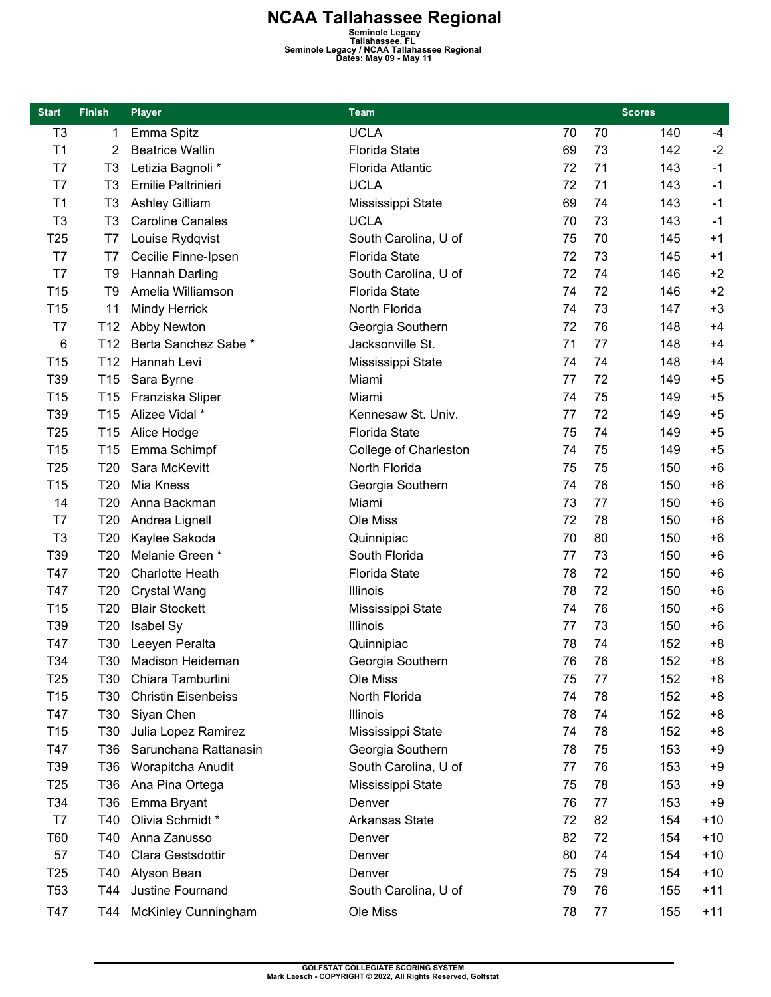**NCAA Tallahassee Regional**<br>
Seminole Legacy<br>
Seminole Legacy / NCAA Tallahassee, FL<br>
Dates: May 09 - May 11<br>
Dates: May 09 - May 11

| <b>Start</b>    | <b>Finish</b>   | <b>Player</b>              | <b>Team</b>           | <b>Scores</b> |    |     |       |
|-----------------|-----------------|----------------------------|-----------------------|---------------|----|-----|-------|
| T <sub>3</sub>  | 1               | Emma Spitz                 | <b>UCLA</b>           | 70            | 70 | 140 | $-4$  |
| T1              | 2               | <b>Beatrice Wallin</b>     | <b>Florida State</b>  | 69            | 73 | 142 | $-2$  |
| T7              | T <sub>3</sub>  | Letizia Bagnoli *          | Florida Atlantic      | 72            | 71 | 143 | $-1$  |
| T7              | T <sub>3</sub>  | Emilie Paltrinieri         | <b>UCLA</b>           | 72            | 71 | 143 | $-1$  |
| T1              | T <sub>3</sub>  | Ashley Gilliam             | Mississippi State     | 69            | 74 | 143 | $-1$  |
| T <sub>3</sub>  | T <sub>3</sub>  | <b>Caroline Canales</b>    | <b>UCLA</b>           | 70            | 73 | 143 | $-1$  |
| T <sub>25</sub> | T7              | Louise Rydqvist            | South Carolina, U of  | 75            | 70 | 145 | $+1$  |
| T7              | T7              | Cecilie Finne-Ipsen        | <b>Florida State</b>  | 72            | 73 | 145 | $+1$  |
| T7              | T <sub>9</sub>  | Hannah Darling             | South Carolina, U of  | 72            | 74 | 146 | $+2$  |
| T <sub>15</sub> | T <sub>9</sub>  | Amelia Williamson          | <b>Florida State</b>  | 74            | 72 | 146 | $+2$  |
| T15             | 11              | <b>Mindy Herrick</b>       | North Florida         | 74            | 73 | 147 | $+3$  |
| T7              | T <sub>12</sub> | Abby Newton                | Georgia Southern      | 72            | 76 | 148 | $+4$  |
| 6               | T12             | Berta Sanchez Sabe *       | Jacksonville St.      | 71            | 77 | 148 | $+4$  |
| T15             | T <sub>12</sub> | Hannah Levi                | Mississippi State     | 74            | 74 | 148 | $+4$  |
| T39             | T <sub>15</sub> | Sara Byrne                 | Miami                 | 77            | 72 | 149 | $+5$  |
| T <sub>15</sub> | T <sub>15</sub> | Franziska Sliper           | Miami                 | 74            | 75 | 149 | $+5$  |
| T39             | T <sub>15</sub> | Alizee Vidal *             | Kennesaw St. Univ.    | 77            | 72 | 149 | $+5$  |
| T <sub>25</sub> | T <sub>15</sub> | Alice Hodge                | <b>Florida State</b>  | 75            | 74 | 149 | $+5$  |
| T <sub>15</sub> | T <sub>15</sub> | Emma Schimpf               | College of Charleston | 74            | 75 | 149 | $+5$  |
| T <sub>25</sub> | T20             | Sara McKevitt              | North Florida         | 75            | 75 | 150 | $+6$  |
| T <sub>15</sub> | T20             | Mia Kness                  | Georgia Southern      | 74            | 76 | 150 | $+6$  |
| 14              | T <sub>20</sub> | Anna Backman               | Miami                 | 73            | 77 | 150 | $+6$  |
| T7              | T <sub>20</sub> | Andrea Lignell             | Ole Miss              | 72            | 78 | 150 | $+6$  |
| T <sub>3</sub>  | T20             | Kaylee Sakoda              | Quinnipiac            | 70            | 80 | 150 | $+6$  |
| T39             | T20             | Melanie Green *            | South Florida         | 77            | 73 |     | $+6$  |
|                 | T20             | <b>Charlotte Heath</b>     | <b>Florida State</b>  | 78            | 72 | 150 | $+6$  |
| T47<br>T47      |                 |                            |                       | 78            | 72 | 150 | $+6$  |
|                 | T <sub>20</sub> | <b>Crystal Wang</b>        | Illinois              |               |    | 150 |       |
| T <sub>15</sub> | T20             | <b>Blair Stockett</b>      | Mississippi State     | 74            | 76 | 150 | $+6$  |
| T39             | T <sub>20</sub> | Isabel Sy                  | Illinois              | 77            | 73 | 150 | $+6$  |
| T47             | T30             | Leeyen Peralta             | Quinnipiac            | 78            | 74 | 152 | $+8$  |
| T34             | T30             | Madison Heideman           | Georgia Southern      | 76            | 76 | 152 | $+8$  |
| T <sub>25</sub> | T30             | Chiara Tamburlini          | Ole Miss              | 75            | 77 | 152 | $+8$  |
| T <sub>15</sub> | T30             | <b>Christin Eisenbeiss</b> | North Florida         | 74            | 78 | 152 | $+8$  |
| T47             | T30             | Siyan Chen                 | Illinois              | 78            | 74 | 152 | $+8$  |
| T <sub>15</sub> | T <sub>30</sub> | Julia Lopez Ramirez        | Mississippi State     | 74            | 78 | 152 | $+8$  |
| T47             | T36             | Sarunchana Rattanasin      | Georgia Southern      | 78            | 75 | 153 | $+9$  |
| T39             | T <sub>36</sub> | Worapitcha Anudit          | South Carolina, U of  | 77            | 76 | 153 | $+9$  |
| T <sub>25</sub> | T <sub>36</sub> | Ana Pina Ortega            | Mississippi State     | 75            | 78 | 153 | $+9$  |
| T34             | T <sub>36</sub> | Emma Bryant                | Denver                | 76            | 77 | 153 | $+9$  |
| T7              | T40             | Olivia Schmidt*            | Arkansas State        | 72            | 82 | 154 | $+10$ |
| T60             | T40             | Anna Zanusso               | Denver                | 82            | 72 | 154 | $+10$ |
| 57              | T40             | Clara Gestsdottir          | Denver                | 80            | 74 | 154 | $+10$ |
| T <sub>25</sub> | T40             | Alyson Bean                | Denver                | 75            | 79 | 154 | $+10$ |
| <b>T53</b>      | T44             | Justine Fournand           | South Carolina, U of  | 79            | 76 | 155 | $+11$ |
| T47             | T44             | <b>McKinley Cunningham</b> | Ole Miss              | 78            | 77 | 155 | $+11$ |